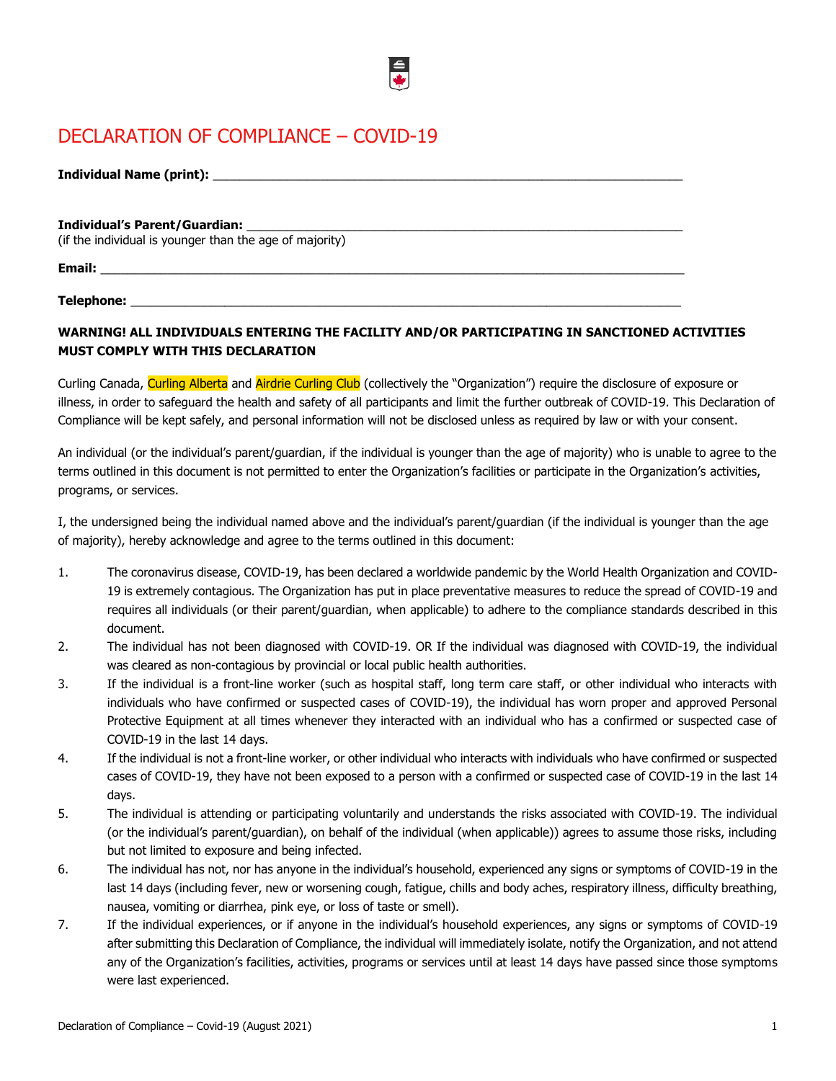# DECLARATION OF COMPLIANCE – COVID-19

| <b>Individual Name (print):</b> |  |
|---------------------------------|--|
|                                 |  |

#### **Individual's Parent/Guardian:** \_\_\_\_\_\_\_\_\_\_\_\_\_\_\_\_\_\_\_\_\_\_\_\_\_\_\_\_\_\_\_\_\_\_\_\_\_\_\_\_\_\_\_\_\_\_\_\_\_\_\_\_\_\_\_\_\_\_\_\_\_\_\_\_\_

(if the individual is younger than the age of majority)

**Email:** \_\_\_\_\_\_\_\_\_\_\_\_\_\_\_\_\_\_\_\_\_\_\_\_\_\_\_\_\_\_\_\_\_\_\_\_\_\_\_\_\_\_\_\_\_\_\_\_\_\_\_\_\_\_\_\_\_\_\_\_\_\_\_\_\_\_\_\_\_\_\_\_\_\_\_\_\_\_\_\_\_\_\_\_\_\_\_

Telephone:

## **WARNING! ALL INDIVIDUALS ENTERING THE FACILITY AND/OR PARTICIPATING IN SANCTIONED ACTIVITIES MUST COMPLY WITH THIS DECLARATION**

Curling Canada, Curling Alberta and Airdrie Curling Club (collectively the "Organization") require the disclosure of exposure or illness, in order to safeguard the health and safety of all participants and limit the further outbreak of COVID-19. This Declaration of Compliance will be kept safely, and personal information will not be disclosed unless as required by law or with your consent.

An individual (or the individual's parent/guardian, if the individual is younger than the age of majority) who is unable to agree to the terms outlined in this document is not permitted to enter the Organization's facilities or participate in the Organization's activities, programs, or services.

I, the undersigned being the individual named above and the individual's parent/guardian (if the individual is younger than the age of majority), hereby acknowledge and agree to the terms outlined in this document:

- 1. The coronavirus disease, COVID-19, has been declared a worldwide pandemic by the World Health Organization and COVID-19 is extremely contagious. The Organization has put in place preventative measures to reduce the spread of COVID-19 and requires all individuals (or their parent/guardian, when applicable) to adhere to the compliance standards described in this document.
- 2. The individual has not been diagnosed with COVID-19. OR If the individual was diagnosed with COVID-19, the individual was cleared as non-contagious by provincial or local public health authorities.
- 3. If the individual is a front-line worker (such as hospital staff, long term care staff, or other individual who interacts with individuals who have confirmed or suspected cases of COVID-19), the individual has worn proper and approved Personal Protective Equipment at all times whenever they interacted with an individual who has a confirmed or suspected case of COVID-19 in the last 14 days.
- 4. If the individual is not a front-line worker, or other individual who interacts with individuals who have confirmed or suspected cases of COVID-19, they have not been exposed to a person with a confirmed or suspected case of COVID-19 in the last 14 days.
- 5. The individual is attending or participating voluntarily and understands the risks associated with COVID-19. The individual (or the individual's parent/guardian), on behalf of the individual (when applicable)) agrees to assume those risks, including but not limited to exposure and being infected.
- 6. The individual has not, nor has anyone in the individual's household, experienced any signs or symptoms of COVID-19 in the last 14 days (including fever, new or worsening cough, fatigue, chills and body aches, respiratory illness, difficulty breathing, nausea, vomiting or diarrhea, pink eye, or loss of taste or smell).
- 7. If the individual experiences, or if anyone in the individual's household experiences, any signs or symptoms of COVID-19 after submitting this Declaration of Compliance, the individual will immediately isolate, notify the Organization, and not attend any of the Organization's facilities, activities, programs or services until at least 14 days have passed since those symptoms were last experienced.